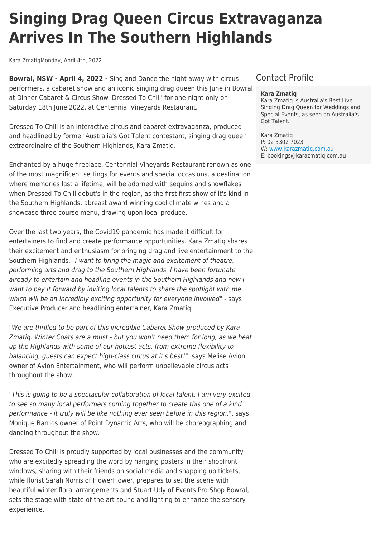# **Singing Drag Queen Circus Extravaganza Arrives In The Southern Highlands**

Kara ZmatiqMonday, April 4th, 2022

**Bowral, NSW - April 4, 2022 -** Sing and Dance the night away with circus performers, a cabaret show and an iconic singing drag queen this June in Bowral at Dinner Cabaret & Circus Show 'Dressed To Chill' for one-night-only on Saturday 18th June 2022, at Centennial Vineyards Restaurant.

Dressed To Chill is an interactive circus and cabaret extravaganza, produced and headlined by former Australia's Got Talent contestant, singing drag queen extraordinaire of the Southern Highlands, Kara Zmatiq.

Enchanted by a huge fireplace, Centennial Vineyards Restaurant renown as one of the most magnificent settings for events and special occasions, a destination where memories last a lifetime, will be adorned with sequins and snowflakes when Dressed To Chill debut's in the region, as the first first show of it's kind in the Southern Highlands, abreast award winning cool climate wines and a showcase three course menu, drawing upon local produce.

Over the last two years, the Covid19 pandemic has made it difficult for entertainers to find and create performance opportunities. Kara Zmatiq shares their excitement and enthusiasm for bringing drag and live entertainment to the Southern Highlands. "I want to bring the magic and excitement of theatre, performing arts and drag to the Southern Highlands. I have been fortunate already to entertain and headline events in the Southern Highlands and now I want to pay it forward by inviting local talents to share the spotlight with me which will be an incredibly exciting opportunity for everyone involved" - says Executive Producer and headlining entertainer, Kara Zmatiq.

"We are thrilled to be part of this incredible Cabaret Show produced by Kara Zmatiq. Winter Coats are a must - but you won't need them for long, as we heat up the Highlands with some of our hottest acts, from extreme flexibility to balancing, guests can expect high-class circus at it's best!", says Melise Avion owner of Avion Entertainment, who will perform unbelievable circus acts throughout the show.

"This is going to be a spectacular collaboration of local talent, I am very excited to see so many local performers coming together to create this one of a kind performance - it truly will be like nothing ever seen before in this region.", says Monique Barrios owner of Point Dynamic Arts, who will be choreographing and dancing throughout the show.

Dressed To Chill is proudly supported by local businesses and the community who are excitedly spreading the word by hanging posters in their shopfront windows, sharing with their friends on social media and snapping up tickets, while florist Sarah Norris of FlowerFlower, prepares to set the scene with beautiful winter floral arrangements and Stuart Udy of Events Pro Shop Bowral, sets the stage with state-of-the-art sound and lighting to enhance the sensory experience.

## Contact Profile

#### **Kara Zmatiq**

Kara Zmatiq is Australia's Best Live Singing Drag Queen for Weddings and Special Events, as seen on Australia's Got Talent.

Kara Zmatiq P: 02 5302 7023 W: [www.karazmatiq.com.au](http://www.karazmatiq.com.au) E: bookings@karazmatiq.com.au